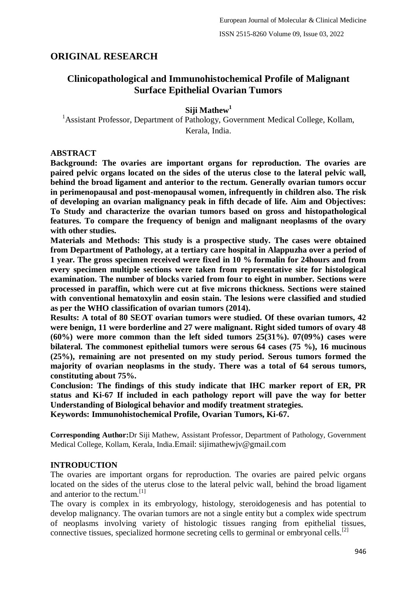# **ORIGINAL RESEARCH**

# **Clinicopathological and Immunohistochemical Profile of Malignant Surface Epithelial Ovarian Tumors**

## **Siji Mathew<sup>1</sup>**

<sup>1</sup> Assistant Professor, Department of Pathology, Government Medical College, Kollam, Kerala, India.

## **ABSTRACT**

**Background: The ovaries are important organs for reproduction. The ovaries are paired pelvic organs located on the sides of the uterus close to the lateral pelvic wall, behind the broad ligament and anterior to the rectum. Generally ovarian tumors occur in perimenopausal and post-menopausal women, infrequently in children also. The risk of developing an ovarian malignancy peak in fifth decade of life. Aim and Objectives: To Study and characterize the ovarian tumors based on gross and histopathological features. To compare the frequency of benign and malignant neoplasms of the ovary with other studies.**

**Materials and Methods: This study is a prospective study. The cases were obtained from Department of Pathology, at a tertiary care hospital in Alappuzha over a period of 1 year. The gross specimen received were fixed in 10 % formalin for 24hours and from every specimen multiple sections were taken from representative site for histological examination. The number of blocks varied from four to eight in number. Sections were processed in paraffin, which were cut at five microns thickness. Sections were stained with conventional hematoxylin and eosin stain. The lesions were classified and studied as per the WHO classification of ovarian tumors (2014).**

**Results: A total of 80 SEOT ovarian tumors were studied. Of these ovarian tumors, 42 were benign, 11 were borderline and 27 were malignant. Right sided tumors of ovary 48 (60%) were more common than the left sided tumors 25(31%). 07(09%) cases were bilateral. The commonest epithelial tumors were serous 64 cases (75 %), 16 mucinous (25%), remaining are not presented on my study period. Serous tumors formed the majority of ovarian neoplasms in the study. There was a total of 64 serous tumors, constituting about 75%.**

**Conclusion: The findings of this study indicate that IHC marker report of ER, PR status and Ki-67 If included in each pathology report will pave the way for better Understanding of Biological behavior and modify treatment strategies. Keywords: Immunohistochemical Profile, Ovarian Tumors, Ki-67.**

**Corresponding Author:**Dr Siji Mathew, Assistant Professor, Department of Pathology, Government Medical College, Kollam, Kerala, India.Email: sijimathewjv@gmail.com

### **INTRODUCTION**

The ovaries are important organs for reproduction. The ovaries are paired pelvic organs located on the sides of the uterus close to the lateral pelvic wall, behind the broad ligament and anterior to the rectum.[1]

The ovary is complex in its embryology, histology, steroidogenesis and has potential to develop malignancy. The ovarian tumors are not a single entity but a complex wide spectrum of neoplasms involving variety of histologic tissues ranging from epithelial tissues, connective tissues, specialized hormone secreting cells to germinal or embryonal cells.<sup>[2]</sup>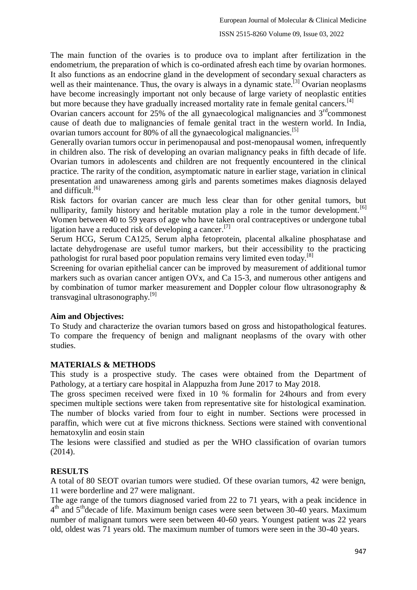#### ISSN 2515-8260 Volume 09, Issue 03, 2022

The main function of the ovaries is to produce ova to implant after fertilization in the endometrium, the preparation of which is co-ordinated afresh each time by ovarian hormones. It also functions as an endocrine gland in the development of secondary sexual characters as well as their maintenance. Thus, the ovary is always in a dynamic state.<sup>[3]</sup> Ovarian neoplasms have become increasingly important not only because of large variety of neoplastic entities but more because they have gradually increased mortality rate in female genital cancers.<sup>[4]</sup>

Ovarian cancers account for 25% of the all gynaecological malignancies and  $3<sup>rd</sup>$ commonest cause of death due to malignancies of female genital tract in the western world. In India, ovarian tumors account for 80% of all the gynaecological malignancies.<sup>[5]</sup>

Generally ovarian tumors occur in perimenopausal and post-menopausal women, infrequently in children also. The risk of developing an ovarian malignancy peaks in fifth decade of life. Ovarian tumors in adolescents and children are not frequently encountered in the clinical practice. The rarity of the condition, asymptomatic nature in earlier stage, variation in clinical presentation and unawareness among girls and parents sometimes makes diagnosis delayed and difficult.<sup>[6]</sup>

Risk factors for ovarian cancer are much less clear than for other genital tumors, but nulliparity, family history and heritable mutation play a role in the tumor development.<sup>[6]</sup> Women between 40 to 59 years of age who have taken oral contraceptives or undergone tubal ligation have a reduced risk of developing a cancer.<sup>[7]</sup>

Serum HCG, Serum CA125, Serum alpha fetoprotein, placental alkaline phosphatase and lactate dehydrogenase are useful tumor markers, but their accessibility to the practicing pathologist for rural based poor population remains very limited even today.<sup>[8]</sup>

Screening for ovarian epithelial cancer can be improved by measurement of additional tumor markers such as ovarian cancer antigen OVx, and Ca 15-3, and numerous other antigens and by combination of tumor marker measurement and Doppler colour flow ultrasonography & transvaginal ultrasonography.<sup>[9]</sup>

### **Aim and Objectives:**

To Study and characterize the ovarian tumors based on gross and histopathological features. To compare the frequency of benign and malignant neoplasms of the ovary with other studies.

# **MATERIALS & METHODS**

This study is a prospective study. The cases were obtained from the Department of Pathology, at a tertiary care hospital in Alappuzha from June 2017 to May 2018.

The gross specimen received were fixed in 10 % formalin for 24hours and from every specimen multiple sections were taken from representative site for histological examination. The number of blocks varied from four to eight in number. Sections were processed in paraffin, which were cut at five microns thickness. Sections were stained with conventional hematoxylin and eosin stain

The lesions were classified and studied as per the WHO classification of ovarian tumors (2014).

# **RESULTS**

A total of 80 SEOT ovarian tumors were studied. Of these ovarian tumors, 42 were benign, 11 were borderline and 27 were malignant.

The age range of the tumors diagnosed varied from 22 to 71 years, with a peak incidence in 4<sup>th</sup> and 5<sup>th</sup>decade of life. Maximum benign cases were seen between 30-40 years. Maximum number of malignant tumors were seen between 40-60 years. Youngest patient was 22 years old, oldest was 71 years old. The maximum number of tumors were seen in the 30-40 years.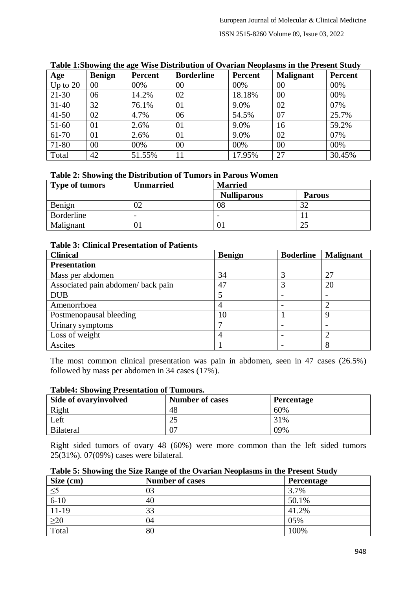| Age        | <b>Benign</b>  | Percent | <b>Borderline</b> | Percent | <b>Malignant</b> | Percent |
|------------|----------------|---------|-------------------|---------|------------------|---------|
| Up to $20$ | 00             | 00%     | 00                | 00%     | 00               | 00%     |
| $21 - 30$  | 06             | 14.2%   | 02                | 18.18%  | 00               | 00%     |
| $31 - 40$  | 32             | 76.1%   | 01                | 9.0%    | 02               | 07%     |
| $41 - 50$  | 02             | 4.7%    | 06                | 54.5%   | 07               | 25.7%   |
| $51-60$    | 01             | 2.6%    | 01                | 9.0%    | 16               | 59.2%   |
| 61-70      | 01             | 2.6%    | 01                | 9.0%    | 02               | 07%     |
| 71-80      | 0 <sup>0</sup> | 00%     | 00                | 00%     | 00               | 00%     |
| Total      | 42             | 51.55%  | 11                | 17.95%  | 27               | 30.45%  |

### **Table 1:Showing the age Wise Distribution of Ovarian Neoplasms in the Present Study**

## **Table 2: Showing the Distribution of Tumors in Parous Women**

| <b>Type of tumors</b> | Unmarried                | <b>Married</b>     |               |  |
|-----------------------|--------------------------|--------------------|---------------|--|
|                       |                          | <b>Nulliparous</b> | <b>Parous</b> |  |
| Benign                |                          | 08                 |               |  |
| Borderline            | $\overline{\phantom{m}}$ | -                  |               |  |
| Malignant             |                          | O]                 | ∠~            |  |

### **Table 3: Clinical Presentation of Patients**

| <b>Clinical</b>                   | <b>Benign</b> | <b>Boderline</b> | <b>Malignant</b> |
|-----------------------------------|---------------|------------------|------------------|
| <b>Presentation</b>               |               |                  |                  |
| Mass per abdomen                  | 34            |                  | 27               |
| Associated pain abdomen/back pain | 47            |                  | 20               |
| <b>DUB</b>                        |               |                  |                  |
| Amenorrhoea                       |               |                  |                  |
| Postmenopausal bleeding           | 10            |                  |                  |
| Urinary symptoms                  |               |                  |                  |
| Loss of weight                    |               |                  |                  |
| Ascites                           |               |                  |                  |

The most common clinical presentation was pain in abdomen, seen in 47 cases (26.5%) followed by mass per abdomen in 34 cases (17%).

| Side of ovaryinvolved | <b>Number of cases</b> | <b>Percentage</b> |  |  |  |
|-----------------------|------------------------|-------------------|--|--|--|
| Right                 | 48                     | 60%               |  |  |  |
| Left                  | ົາ<<br>ت               | 31%               |  |  |  |
| Bilateral             | רר                     | 09%               |  |  |  |

## **Table4: Showing Presentation of Tumours.**

Right sided tumors of ovary 48 (60%) were more common than the left sided tumors 25(31%). 07(09%) cases were bilateral.

| Table 5: Showing the Size Range of the Ovarian Neoplasms in the Present Study |  |  |  |  |  |
|-------------------------------------------------------------------------------|--|--|--|--|--|
|                                                                               |  |  |  |  |  |

| . .<br>Size (cm)               | . .<br><b>Number of cases</b> | <b>Percentage</b> |
|--------------------------------|-------------------------------|-------------------|
| $\leq$                         | 03                            | 3.7%              |
| $6-10$                         | 40                            | 50.1%             |
| $11-19$                        | 33                            | 41.2%             |
| $\frac{\geq 20}{\text{Total}}$ | 04                            | 05%               |
|                                | 80                            | 100%              |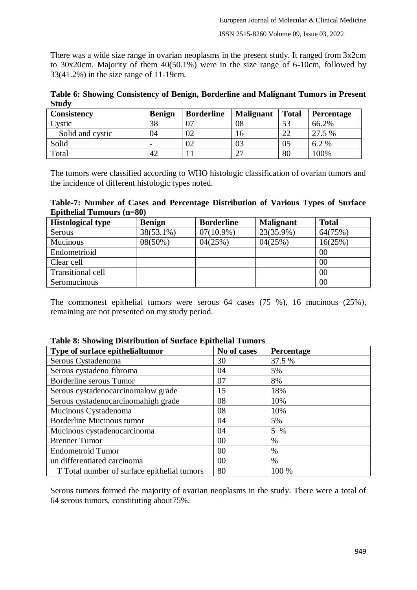There was a wide size range in ovarian neoplasms in the present study. It ranged from 3x2cm to 30x20cm. Majority of them 40(50.1%) were in the size range of 6-10cm, followed by 33(41.2%) in the size range of 11-19cm.

**Table 6: Showing Consistency of Benign, Borderline and Malignant Tumors in Present Study**

| Consistency      | <b>Benign</b> | <b>Borderline</b> | <b>Malignant</b> | <b>Total</b> | <b>Percentage</b> |
|------------------|---------------|-------------------|------------------|--------------|-------------------|
| Cystic           | 38            |                   | 08               | 53           | 66.2%             |
| Solid and cystic | 94            | 02                | 10               | ാറ           | 27.5 %            |
| Solid            |               | 02                | 03               | 05           | 6.2 %             |
| Total            | 42            | . .               |                  | 80           | 100%              |

The tumors were classified according to WHO histologic classification of ovarian tumors and the incidence of different histologic types noted.

### **Table-7: Number of Cases and Percentage Distribution of Various Types of Surface Epithelial Tumours (n=80)**

| <b>Histological type</b> | <b>Benign</b> | <b>Borderline</b> | <b>Malignant</b> | <b>Total</b> |
|--------------------------|---------------|-------------------|------------------|--------------|
| Serous                   | 38(53.1%)     | $07(10.9\%)$      | 23(35.9%)        | 64(75%)      |
| <b>Mucinous</b>          | 08(50%)       | 04(25%)           | 04(25%)          | 16(25%)      |
| Endometrioid             |               |                   |                  | 00           |
| Clear cell               |               |                   |                  | 00           |
| Transitional cell        |               |                   |                  | 00           |
| Seromucinous             |               |                   |                  | 00           |

The commonest epithelial tumors were serous 64 cases (75 %), 16 mucinous (25%), remaining are not presented on my study period.

| Type of surface epithelialtumor             | No of cases | Percentage    |
|---------------------------------------------|-------------|---------------|
| Serous Cystadenoma                          | 30          | 37.5 %        |
| Serous cystadeno fibroma                    | 04          | 5%            |
| Borderline serous Tumor                     | 07          | 8%            |
| Serous cystadenocarcinomalow grade          | 15          | 18%           |
| Serous cystadenocarcinomahigh grade         | 08          | 10%           |
| Mucinous Cystadenoma                        | 08          | 10%           |
| Borderline Mucinous tumor                   | 04          | 5%            |
| Mucinous cystadenocarcinoma                 | 04          | 5 %           |
| <b>Brenner Tumor</b>                        | 00          | $\%$          |
| <b>Endometroid Tumor</b>                    | 00          | %             |
| un differentiated carcinoma                 | 00          | $\frac{0}{0}$ |
| T Total number of surface epithelial tumors | 80          | 100 %         |

### **Table 8: Showing Distribution of Surface Epithelial Tumors**

Serous tumors formed the majority of ovarian neoplasms in the study. There were a total of 64 serous tumors, constituting about75%.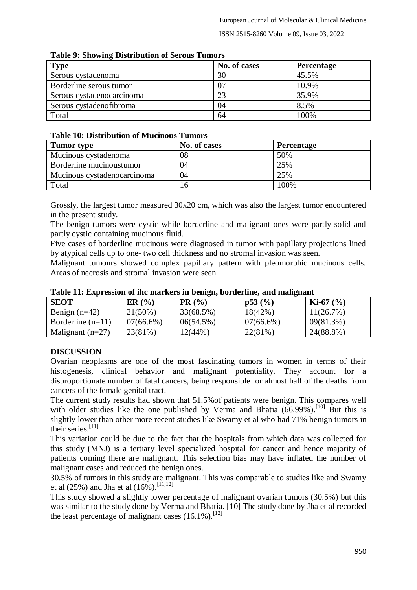#### ISSN 2515-8260 Volume 09, Issue 03, 2022

| Tuble >+ DHO WHILE DISTINGUION OF DEFOUR TUNNISH |              |                   |  |  |  |
|--------------------------------------------------|--------------|-------------------|--|--|--|
| <b>Type</b>                                      | No. of cases | <b>Percentage</b> |  |  |  |
| Serous cystadenoma                               | 30           | 45.5%             |  |  |  |
| Borderline serous tumor                          | 07           | 10.9%             |  |  |  |
| Serous cystadenocarcinoma                        | 23           | 35.9%             |  |  |  |
| Serous cystadenofibroma                          | 04           | 8.5%              |  |  |  |
| Total                                            | 64           | 100%              |  |  |  |

#### **Table 9: Showing Distribution of Serous Tumors**

#### **Table 10: Distribution of Mucinous Tumors**

| <b>Tumor</b> type           | No. of cases | <b>Percentage</b> |
|-----------------------------|--------------|-------------------|
| Mucinous cystadenoma        | 08           | 50%               |
| Borderline mucinoustumor    | 04           | 25%               |
| Mucinous cystadenocarcinoma | 04           | 25%               |
| Total                       | 16           | 100%              |

Grossly, the largest tumor measured 30x20 cm, which was also the largest tumor encountered in the present study.

The benign tumors were cystic while borderline and malignant ones were partly solid and partly cystic containing mucinous fluid.

Five cases of borderline mucinous were diagnosed in tumor with papillary projections lined by atypical cells up to one- two cell thickness and no stromal invasion was seen.

Malignant tumours showed complex papillary pattern with pleomorphic mucinous cells. Areas of necrosis and stromal invasion were seen.

| <b>SEOT</b>         | ER(%)        | PR(%)     | p53(%)       | $Ki-67 (%)$  |
|---------------------|--------------|-----------|--------------|--------------|
| Benign $(n=42)$     | $21(50\%)$   | 33(68.5%) | 18(42%)      | 11(26.7%)    |
| Borderline $(n=11)$ | $07(66.6\%)$ | 06(54.5%) | $07(66.6\%)$ | $09(81.3\%)$ |
| Malignant $(n=27)$  | 23(81%)      | 12(44%)   | 22(81%)      | 24(88.8%)    |

**Table 11: Expression of ihc markers in benign, borderline, and malignant**

# **DISCUSSION**

Ovarian neoplasms are one of the most fascinating tumors in women in terms of their histogenesis, clinical behavior and malignant potentiality. They account for a disproportionate number of fatal cancers, being responsible for almost half of the deaths from cancers of the female genital tract.

The current study results had shown that 51.5%of patients were benign. This compares well with older studies like the one published by Verma and Bhatia  $(66.99\%)$ .<sup>[10]</sup> But this is slightly lower than other more recent studies like Swamy et al who had 71% benign tumors in their series. $[11]$ 

This variation could be due to the fact that the hospitals from which data was collected for this study (MNJ) is a tertiary level specialized hospital for cancer and hence majority of patients coming there are malignant. This selection bias may have inflated the number of malignant cases and reduced the benign ones.

30.5% of tumors in this study are malignant. This was comparable to studies like and Swamy et al (25%) and Jha et al (16%).<sup>[11,12]</sup>

This study showed a slightly lower percentage of malignant ovarian tumors (30.5%) but this was similar to the study done by Verma and Bhatia. [10] The study done by Jha et al recorded the least percentage of malignant cases  $(16.1\%)$ .<sup>[12]</sup>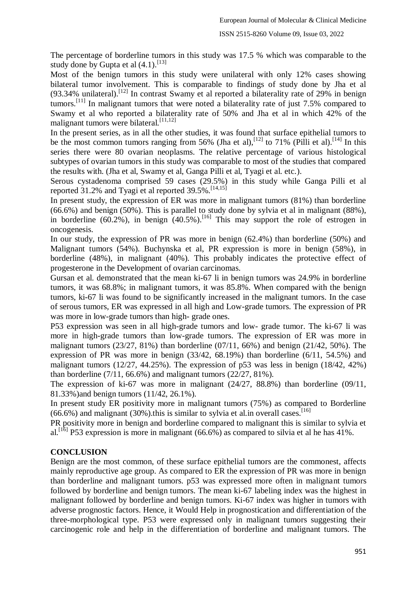The percentage of borderline tumors in this study was 17.5 % which was comparable to the study done by Gupta et al  $(4.1)$ .<sup>[13]</sup>

Most of the benign tumors in this study were unilateral with only 12% cases showing bilateral tumor involvement. This is comparable to findings of study done by Jha et al  $(93.34\%$  unilateral).<sup>[12]</sup> In contrast Swamy et al reported a bilaterality rate of 29% in benign tumors.<sup>[11]</sup> In malignant tumors that were noted a bilaterality rate of just 7.5% compared to Swamy et al who reported a bilaterality rate of 50% and Jha et al in which 42% of the malignant tumors were bilateral.[11,12]

In the present series, as in all the other studies, it was found that surface epithelial tumors to be the most common tumors ranging from 56% (Jha et al),<sup>[12]</sup> to 71% (Pilli et al).<sup>[14]</sup> In this series there were 80 ovarian neoplasms. The relative percentage of various histological subtypes of ovarian tumors in this study was comparable to most of the studies that compared the results with. (Jha et al, Swamy et al, Ganga Pilli et al, Tyagi et al. etc.).

Serous cystadenoma comprised 59 cases (29.5%) in this study while Ganga Pilli et al reported 31.2% and Tyagi et al reported 39.5%.<sup>[14,15]</sup>

In present study, the expression of ER was more in malignant tumors (81%) than borderline (66.6%) and benign (50%). This is parallel to study done by sylvia et al in malignant (88%), in borderline  $(60.2\%)$ , in benign  $(40.5\%)$ .<sup>[16]</sup> This may support the role of estrogen in oncogenesis.

In our study, the expression of PR was more in benign (62.4%) than borderline (50%) and Malignant tumors (54%). Buchynska et al, PR expression is more in benign (58%), in borderline (48%), in malignant (40%). This probably indicates the protective effect of progesterone in the Development of ovarian carcinomas.

Gursan et al. demonstrated that the mean ki-67 li in benign tumors was 24.9% in borderline tumors, it was 68.8%; in malignant tumors, it was 85.8%. When compared with the benign tumors, ki-67 li was found to be significantly increased in the malignant tumors. In the case of serous tumors, ER was expressed in all high and Low-grade tumors. The expression of PR was more in low-grade tumors than high- grade ones.

P53 expression was seen in all high-grade tumors and low- grade tumor. The ki-67 li was more in high-grade tumors than low-grade tumors. The expression of ER was more in malignant tumors  $(23/27, 81\%)$  than borderline  $(07/11, 66\%)$  and benign  $(21/42, 50\%)$ . The expression of PR was more in benign (33/42, 68.19%) than borderline (6/11, 54.5%) and malignant tumors (12/27, 44.25%). The expression of p53 was less in benign (18/42, 42%) than borderline  $(7/11, 66.6\%)$  and malignant tumors  $(22/27, 81\%)$ .

The expression of ki-67 was more in malignant (24/27, 88.8%) than borderline (09/11, 81.33%)and benign tumors (11/42, 26.1%).

In present study ER positivity more in malignant tumors (75%) as compared to Borderline  $(66.6\%)$  and malignant (30%).this is similar to sylvia et al.in overall cases.<sup>[16]</sup>

PR positivity more in benign and borderline compared to malignant this is similar to sylvia et al.<sup>[16]</sup> P53 expression is more in malignant (66.6%) as compared to silvia et al he has 41%.

### **CONCLUSION**

Benign are the most common, of these surface epithelial tumors are the commonest, affects mainly reproductive age group. As compared to ER the expression of PR was more in benign than borderline and malignant tumors. p53 was expressed more often in malignant tumors followed by borderline and benign tumors. The mean ki-67 labeling index was the highest in malignant followed by borderline and benign tumors. Ki-67 index was higher in tumors with adverse prognostic factors. Hence, it Would Help in prognostication and differentiation of the three-morphological type. P53 were expressed only in malignant tumors suggesting their carcinogenic role and help in the differentiation of borderline and malignant tumors. The